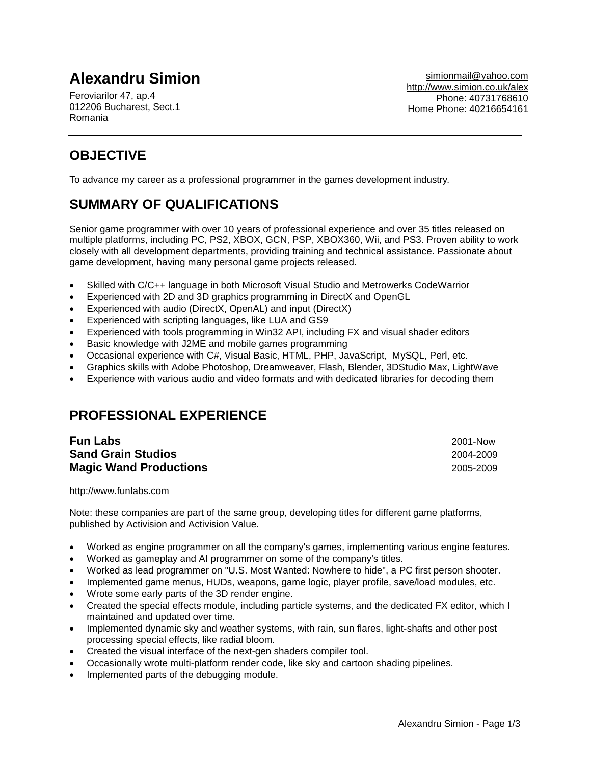# **Alexandru Simion**

Feroviarilor 47, ap.4 012206 Bucharest, Sect.1 Romania

# **OBJECTIVE**

To advance my career as a professional programmer in the games development industry.

# **SUMMARY OF QUALIFICATIONS**

Senior game programmer with over 10 years of professional experience and over 35 titles released on multiple platforms, including PC, PS2, XBOX, GCN, PSP, XBOX360, Wii, and PS3. Proven ability to work closely with all development departments, providing training and technical assistance. Passionate about game development, having many personal game projects released.

- Skilled with C/C++ language in both Microsoft Visual Studio and Metrowerks CodeWarrior
- Experienced with 2D and 3D graphics programming in DirectX and OpenGL
- Experienced with audio (DirectX, OpenAL) and input (DirectX)
- Experienced with scripting languages, like LUA and GS9
- Experienced with tools programming in Win32 API, including FX and visual shader editors
- Basic knowledge with J2ME and mobile games programming
- Occasional experience with C#, Visual Basic, HTML, PHP, JavaScript, MySQL, Perl, etc.
- Graphics skills with Adobe Photoshop, Dreamweaver, Flash, Blender, 3DStudio Max, LightWave
- Experience with various audio and video formats and with dedicated libraries for decoding them

## **PROFESSIONAL EXPERIENCE**

| <b>Fun Labs</b>               | 2001-Now  |
|-------------------------------|-----------|
| <b>Sand Grain Studios</b>     | 2004-2009 |
| <b>Magic Wand Productions</b> | 2005-2009 |

http://www.funlabs.com

Note: these companies are part of the same group, developing titles for different game platforms, published by Activision and Activision Value.

- Worked as engine programmer on all the company's games, implementing various engine features.
- Worked as gameplay and AI programmer on some of the company's titles.
- Worked as lead programmer on "U.S. Most Wanted: Nowhere to hide", a PC first person shooter.
- Implemented game menus, HUDs, weapons, game logic, player profile, save/load modules, etc.
- Wrote some early parts of the 3D render engine.
- Created the special effects module, including particle systems, and the dedicated FX editor, which I maintained and updated over time.
- Implemented dynamic sky and weather systems, with rain, sun flares, light-shafts and other post processing special effects, like radial bloom.
- Created the visual interface of the next-gen shaders compiler tool.
- Occasionally wrote multi-platform render code, like sky and cartoon shading pipelines.
- Implemented parts of the debugging module.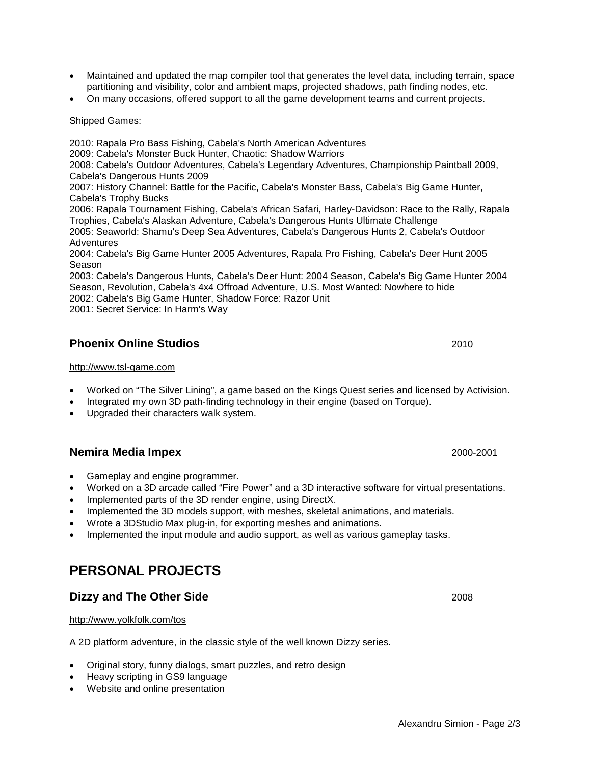Alexandru Simion - Page 2/3

- Maintained and updated the map compiler tool that generates the level data, including terrain, space partitioning and visibility, color and ambient maps, projected shadows, path finding nodes, etc.
- On many occasions, offered support to all the game development teams and current projects.

Shipped Games:

2010: Rapala Pro Bass Fishing, Cabela's North American Adventures 2009: Cabela's Monster Buck Hunter, Chaotic: Shadow Warriors 2008: Cabela's Outdoor Adventures, Cabela's Legendary Adventures, Championship Paintball 2009, Cabela's Dangerous Hunts 2009 2007: History Channel: Battle for the Pacific, Cabela's Monster Bass, Cabela's Big Game Hunter, Cabela's Trophy Bucks

2006: Rapala Tournament Fishing, Cabela's African Safari, Harley-Davidson: Race to the Rally, Rapala Trophies, Cabela's Alaskan Adventure, Cabela's Dangerous Hunts Ultimate Challenge

2005: Seaworld: Shamu's Deep Sea Adventures, Cabela's Dangerous Hunts 2, Cabela's Outdoor Adventures

2004: Cabela's Big Game Hunter 2005 Adventures, Rapala Pro Fishing, Cabela's Deer Hunt 2005 Season

2003: Cabela's Dangerous Hunts, Cabela's Deer Hunt: 2004 Season, Cabela's Big Game Hunter 2004 Season, Revolution, Cabela's 4x4 Offroad Adventure, U.S. Most Wanted: Nowhere to hide 2002: Cabela's Big Game Hunter, Shadow Force: Razor Unit

2001: Secret Service: In Harm's Way

### **Phoenix Online Studios** 2010

#### http://www.tsl-game.com

- Worked on "The Silver Lining", a game based on the Kings Quest series and licensed by Activision.
- Integrated my own 3D path-finding technology in their engine (based on Torque).
- Upgraded their characters walk system.

#### **Nemira Media Impex** 2000-2001

- Gameplay and engine programmer.
- Worked on a 3D arcade called "Fire Power" and a 3D interactive software for virtual presentations.
- Implemented parts of the 3D render engine, using DirectX.
- Implemented the 3D models support, with meshes, skeletal animations, and materials.
- Wrote a 3DStudio Max plug-in, for exporting meshes and animations.
- Implemented the input module and audio support, as well as various gameplay tasks.

### **PERSONAL PROJECTS**

### **Dizzy and The Other Side** 2008

#### http://www.yolkfolk.com/tos

A 2D platform adventure, in the classic style of the well known Dizzy series.

- Original story, funny dialogs, smart puzzles, and retro design
- Heavy scripting in GS9 language
- Website and online presentation